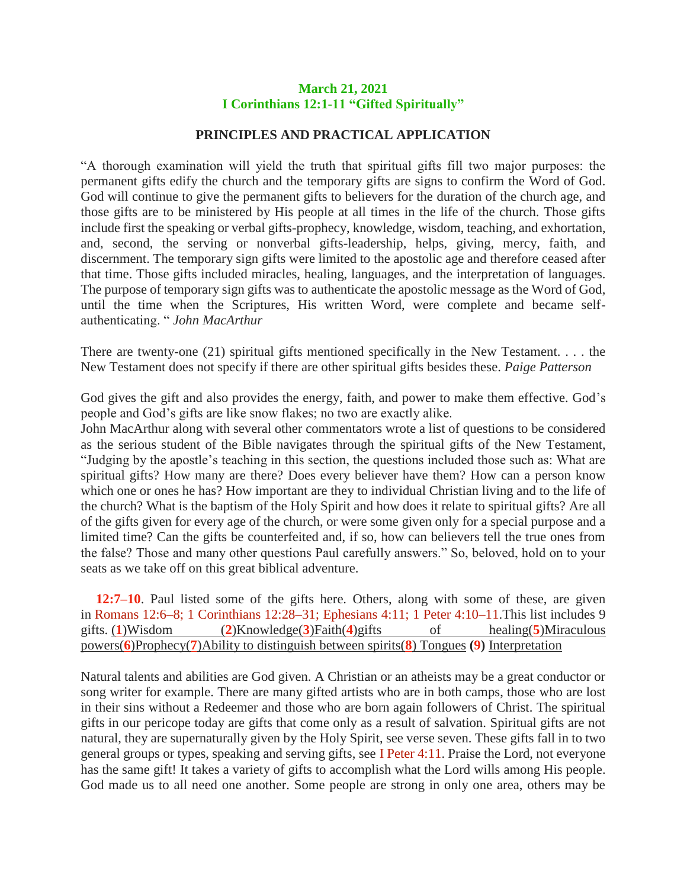## **March 21, 2021 I Corinthians 12:1-11 "Gifted Spiritually"**

## **PRINCIPLES AND PRACTICAL APPLICATION**

"A thorough examination will yield the truth that spiritual gifts fill two major purposes: the permanent gifts edify the church and the temporary gifts are signs to confirm the Word of God. God will continue to give the permanent gifts to believers for the duration of the church age, and those gifts are to be ministered by His people at all times in the life of the church. Those gifts include first the speaking or verbal gifts-prophecy, knowledge, wisdom, teaching, and exhortation, and, second, the serving or nonverbal gifts-leadership, helps, giving, mercy, faith, and discernment. The temporary sign gifts were limited to the apostolic age and therefore ceased after that time. Those gifts included miracles, healing, languages, and the interpretation of languages. The purpose of temporary sign gifts was to authenticate the apostolic message as the Word of God, until the time when the Scriptures, His written Word, were complete and became selfauthenticating. " *John MacArthur*

There are twenty-one (21) spiritual gifts mentioned specifically in the New Testament. . . . the New Testament does not specify if there are other spiritual gifts besides these. *Paige Patterson*

God gives the gift and also provides the energy, faith, and power to make them effective. God's people and God's gifts are like snow flakes; no two are exactly alike.

John MacArthur along with several other commentators wrote a list of questions to be considered as the serious student of the Bible navigates through the spiritual gifts of the New Testament, "Judging by the apostle's teaching in this section, the questions included those such as: What are spiritual gifts? How many are there? Does every believer have them? How can a person know which one or ones he has? How important are they to individual Christian living and to the life of the church? What is the baptism of the Holy Spirit and how does it relate to spiritual gifts? Are all of the gifts given for every age of the church, or were some given only for a special purpose and a limited time? Can the gifts be counterfeited and, if so, how can believers tell the true ones from the false? Those and many other questions Paul carefully answers." So, beloved, hold on to your seats as we take off on this great biblical adventure.

**12:7–10**. Paul listed some of the gifts here. Others, along with some of these, are given in Romans 12:6–8; 1 Corinthians 12:28–31; Ephesians 4:11; 1 Peter 4:10–11.This list includes 9 gifts. (**1**)Wisdom (**2**)Knowledge(**3**)Faith(**4**)gifts of healing(**5**)Miraculous powers(**6**)Prophecy(**7**)Ability to distinguish between spirits(**8**) Tongues **(9)** Interpretation

Natural talents and abilities are God given. A Christian or an atheists may be a great conductor or song writer for example. There are many gifted artists who are in both camps, those who are lost in their sins without a Redeemer and those who are born again followers of Christ. The spiritual gifts in our pericope today are gifts that come only as a result of salvation. Spiritual gifts are not natural, they are supernaturally given by the Holy Spirit, see verse seven. These gifts fall in to two general groups or types, speaking and serving gifts, see I Peter 4:11. Praise the Lord, not everyone has the same gift! It takes a variety of gifts to accomplish what the Lord wills among His people. God made us to all need one another. Some people are strong in only one area, others may be